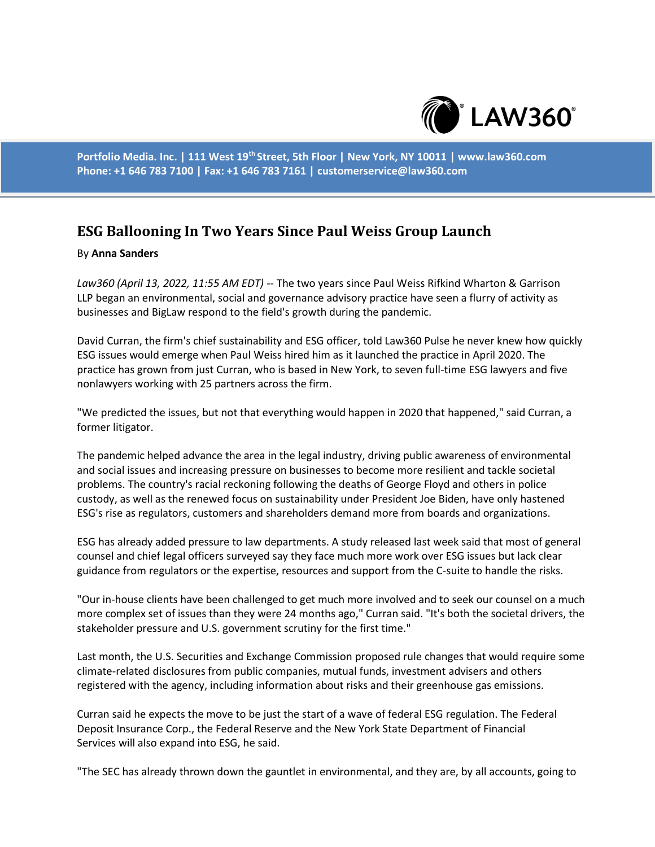

**Portfolio Media. Inc. | 111 West 19th Street, 5th Floor | New York, NY 10011 | www.law360.com Phone: +1 646 783 7100 | Fax: +1 646 783 7161 | customerservice@law360.com**

## **ESG Ballooning In Two Years Since Paul Weiss Group Launch**

## By **Anna Sanders**

*Law360 (April 13, 2022, 11:55 AM EDT)* -- The two years since Paul Weiss Rifkind Wharton & Garrison LLP began an environmental, social and governance advisory practice have seen a flurry of activity as businesses and BigLaw respond to the field's growth during the pandemic.

David Curran, the firm's chief sustainability and ESG officer, told Law360 Pulse he never knew how quickly ESG issues would emerge when Paul Weiss hired him as it launched the practice in April 2020. The practice has grown from just Curran, who is based in New York, to seven full-time ESG lawyers and five nonlawyers working with 25 partners across the firm.

"We predicted the issues, but not that everything would happen in 2020 that happened," said Curran, a former litigator.

The pandemic helped advance the area in the legal industry, driving public awareness of environmental and social issues and increasing pressure on businesses to become more resilient and tackle societal problems. The country's racial reckoning following the deaths of George Floyd and others in police custody, as well as the renewed focus on sustainability under President Joe Biden, have only hastened ESG's rise as regulators, customers and shareholders demand more from boards and organizations.

ESG has already added pressure to law departments. A study released last week said that most of general counsel and chief legal officers surveyed say they face much more work over ESG issues but lack clear guidance from regulators or the expertise, resources and support from the C-suite to handle the risks.

"Our in-house clients have been challenged to get much more involved and to seek our counsel on a much more complex set of issues than they were 24 months ago," Curran said. "It's both the societal drivers, the stakeholder pressure and U.S. government scrutiny for the first time."

Last month, the U.S. Securities and Exchange Commission proposed rule changes that would require some climate-related disclosures from public companies, mutual funds, investment advisers and others registered with the agency, including information about risks and their greenhouse gas emissions.

Curran said he expects the move to be just the start of a wave of federal ESG regulation. The Federal Deposit Insurance Corp., the Federal Reserve and the New York State Department of Financial Services will also expand into ESG, he said.

"The SEC has already thrown down the gauntlet in environmental, and they are, by all accounts, going to